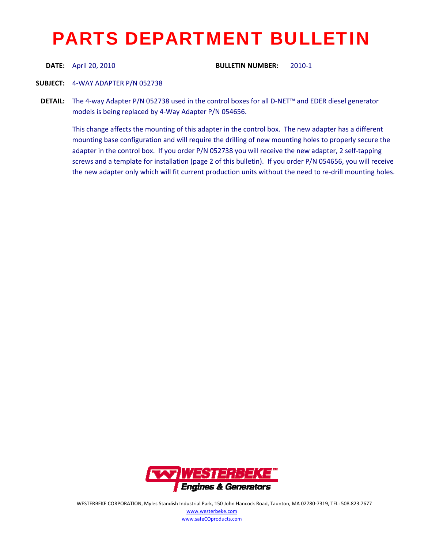## PARTS DEPARTMENT BULLETIN

**DATE:** April 20, 2010 **BULLETIN NUMBER:** 2010‐1

**SUBJECT:** 4‐WAY ADAPTER P/N 052738

**DETAIL:** The 4-way Adapter P/N 052738 used in the control boxes for all D-NET™ and EDER diesel generator models is being replaced by 4‐Way Adapter P/N 054656.

This change affects the mounting of this adapter in the control box. The new adapter has a different mounting base configuration and will require the drilling of new mounting holes to properly secure the adapter in the control box. If you order P/N 052738 you will receive the new adapter, 2 self-tapping screws and a template for installation (page 2 of this bulletin). If you order P/N 054656, you will receive the new adapter only which will fit current production units without the need to re-drill mounting holes.



WESTERBEKE CORPORATION, Myles Standish Industrial Park, 150 John Hancock Road, Taunton, MA 02780‐7319, TEL: 508.823.7677 www.westerbeke.com www.safeCOproducts.com